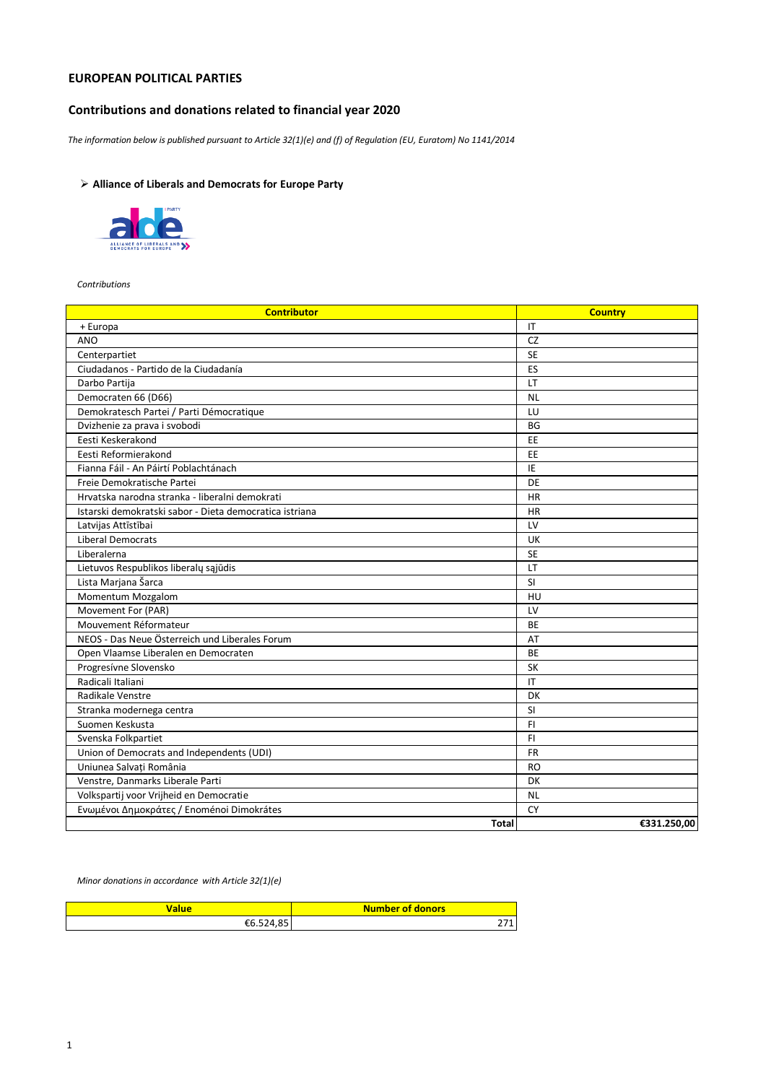## **EUROPEAN POLITICAL PARTIES**

# **Contributions and donations related to financial year 2020**

*The information below is published pursuant to Article 32(1)(e) and (f) of Regulation (EU, Euratom) No 1141/2014*

# **Alliance of Liberals and Democrats for Europe Party**



*Contributions* 

| <b>Contributor</b>                                      | <b>Country</b> |
|---------------------------------------------------------|----------------|
| + Europa                                                | IT             |
| <b>ANO</b>                                              | CZ             |
| Centerpartiet                                           | <b>SE</b>      |
| Ciudadanos - Partido de la Ciudadanía                   | ES             |
| Darbo Partija                                           | LT.            |
| Democraten 66 (D66)                                     | <b>NL</b>      |
| Demokratesch Partei / Parti Démocratique                | LU             |
| Dvizhenie za prava i svobodi                            | <b>BG</b>      |
| Eesti Keskerakond                                       | <b>EE</b>      |
| Eesti Reformierakond                                    | EE             |
| Fianna Fáil - An Páirtí Poblachtánach                   | IE             |
| Freie Demokratische Partei                              | DE             |
| Hrvatska narodna stranka - liberalni demokrati          | HR             |
| Istarski demokratski sabor - Dieta democratica istriana | <b>HR</b>      |
| Latvijas Attīstībai                                     | LV             |
| <b>Liberal Democrats</b>                                | UK             |
| Liberalerna                                             | <b>SE</b>      |
| Lietuvos Respublikos liberalų sąjūdis                   | LT             |
| Lista Marjana Šarca                                     | <b>SI</b>      |
| Momentum Mozgalom                                       | HU             |
| Movement For (PAR)                                      | LV             |
| Mouvement Réformateur                                   | <b>BE</b>      |
| NEOS - Das Neue Österreich und Liberales Forum          | AT             |
| Open Vlaamse Liberalen en Democraten                    | <b>BE</b>      |
| Progresívne Slovensko                                   | <b>SK</b>      |
| Radicali Italiani                                       | IT             |
| Radikale Venstre                                        | DK             |
| Stranka modernega centra                                | SI             |
| Suomen Keskusta                                         | FI.            |
| Svenska Folkpartiet                                     | FI.            |
| Union of Democrats and Independents (UDI)               | <b>FR</b>      |
| Uniunea Salvati România                                 | <b>RO</b>      |
| Venstre, Danmarks Liberale Parti                        | DK             |
| Volkspartij voor Vrijheid en Democratie                 | <b>NL</b>      |
| Ενωμένοι Δημοκράτες / Enoménoi Dimokrátes               | <b>CY</b>      |
| <b>Total</b>                                            | €331.250,00    |

*Minor donations in accordance with Article 32(1)(e)*

| 'alue                   | <b>Number of donors</b> |
|-------------------------|-------------------------|
| $CC$ FO $A$ OF<br>ヒロ コム |                         |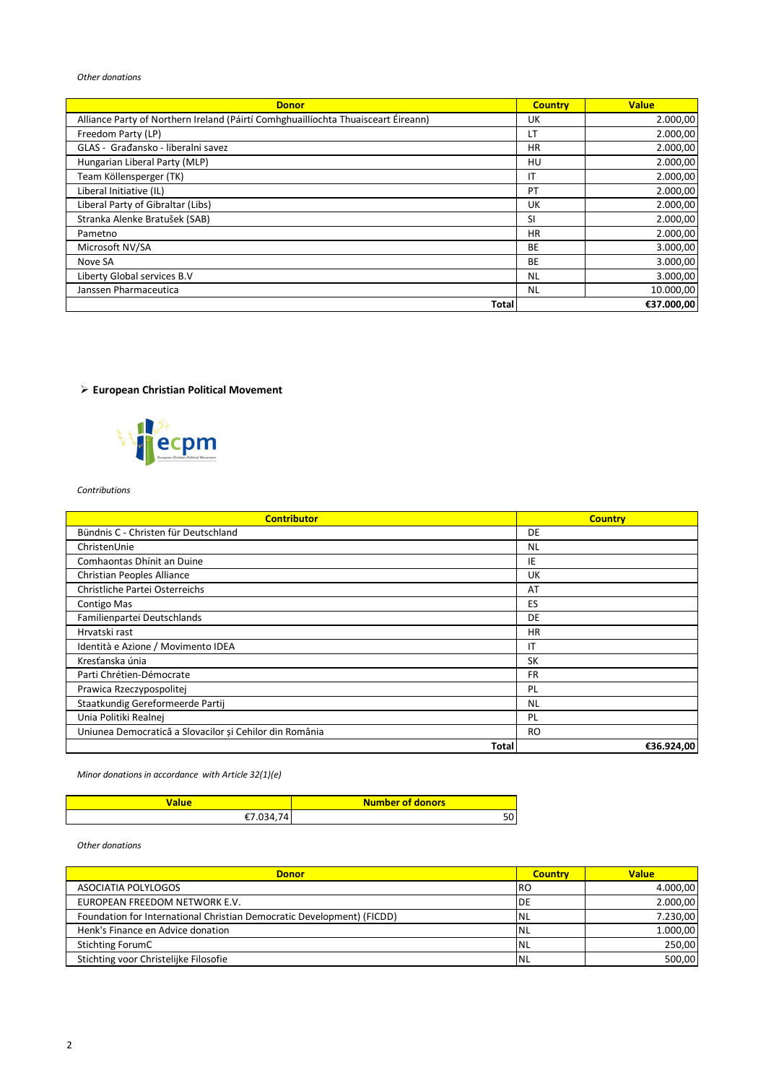### *Other donations*

| <b>Donor</b>                                                                      | <b>Country</b> | <b>Value</b> |
|-----------------------------------------------------------------------------------|----------------|--------------|
| Alliance Party of Northern Ireland (Páirtí Comhghuaillíochta Thuaisceart Éireann) | UK             | 2.000,00     |
| Freedom Party (LP)                                                                | LΤ             | 2.000,00     |
| GLAS - Građansko - liberalni savez                                                | HR.            | 2.000,00     |
| Hungarian Liberal Party (MLP)                                                     | HU             | 2.000,00     |
| Team Köllensperger (TK)                                                           | ΙT             | 2.000,00     |
| Liberal Initiative (IL)                                                           | PT             | 2.000,00     |
| Liberal Party of Gibraltar (Libs)                                                 | UK             | 2.000,00     |
| Stranka Alenke Bratušek (SAB)                                                     | SI             | 2.000,00     |
| Pametno                                                                           | HR.            | 2.000,00     |
| Microsoft NV/SA                                                                   | BE             | 3.000,00     |
| Nove SA                                                                           | BE             | 3.000,00     |
| Liberty Global services B.V                                                       | <b>NL</b>      | 3.000,00     |
| Janssen Pharmaceutica                                                             | <b>NL</b>      | 10.000,00    |
| Total                                                                             |                | €37.000,00   |

## **European Christian Political Movement**



#### *Contributions*

| <b>Contributor</b>                                      | <b>Country</b> |
|---------------------------------------------------------|----------------|
| Bündnis C - Christen für Deutschland                    | DE             |
| ChristenUnie                                            | <b>NL</b>      |
| Comhaontas Dhínit an Duine                              | IE             |
| Christian Peoples Alliance                              | <b>UK</b>      |
| Christliche Partei Osterreichs                          | AT             |
| Contigo Mas                                             | ES             |
| Familienpartei Deutschlands                             | DE             |
| Hrvatski rast                                           | <b>HR</b>      |
| Identità e Azione / Movimento IDEA                      | ΙT             |
| Kresťanska únia                                         | <b>SK</b>      |
| Parti Chrétien-Démocrate                                | <b>FR</b>      |
| Prawica Rzeczypospolitej                                | PL             |
| Staatkundig Gereformeerde Partij                        | <b>NL</b>      |
| Unia Politiki Realnej                                   | PL             |
| Uniunea Democratică a Slovacilor și Cehilor din România | <b>RO</b>      |
| <b>Total</b>                                            | €36.924,00     |

### *Minor donations in accordance with Article 32(1)(e)*

| Value    | <b>Number of donors</b> |
|----------|-------------------------|
| ' በ34 74 | 50                      |

#### *Other donations*

| <b>Donor</b>                                                           | <b>Country</b> | <b>Value</b> |
|------------------------------------------------------------------------|----------------|--------------|
| ASOCIATIA POLYLOGOS                                                    | I RO           | 4.000,00     |
| EUROPEAN FREEDOM NETWORK E.V.                                          | DE             | 2.000,00     |
| Foundation for International Christian Democratic Development) (FICDD) | <b>NL</b>      | 7.230,00     |
| Henk's Finance en Advice donation                                      | INL            | 1.000,00     |
| Stichting ForumC                                                       | <b>INL</b>     | 250,00       |
| Stichting voor Christelijke Filosofie                                  | <b>NL</b>      | 500,00       |

 $\overline{\phantom{a}}$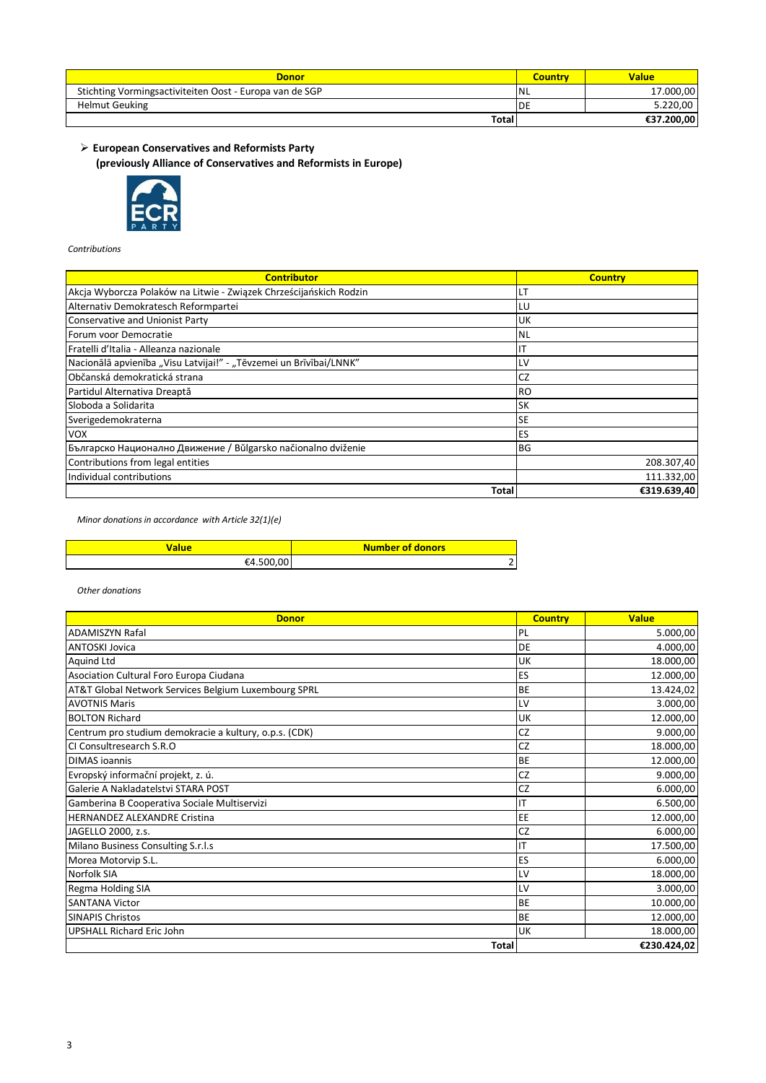| <b>Donor</b>                                            | Country    | <b>Value</b> |
|---------------------------------------------------------|------------|--------------|
| Stichting Vormingsactiviteiten Oost - Europa van de SGP | <b>INL</b> | 17.000,00    |
| <b>Helmut Geuking</b>                                   | 'DE        | 5.220.00     |
| <b>Total</b>                                            |            | €37.200,00   |

**(previously Alliance of Conservatives and Reformists in Europe) European Conservatives and Reformists Party**



### *Contributions*

| <b>Contributor</b>                                                 | <b>Country</b> |
|--------------------------------------------------------------------|----------------|
| Akcja Wyborcza Polaków na Litwie - Związek Chrześcijańskich Rodzin | LT             |
| Alternativ Demokratesch Reformpartei                               | LU             |
| Conservative and Unionist Party                                    | UK             |
| Forum voor Democratie                                              | <b>NL</b>      |
| Fratelli d'Italia - Alleanza nazionale                             | ΙT             |
| Nacionālā apvienība "Visu Latvijai!" - "Tēvzemei un Brīvībai/LNNK" | LV             |
| Občanská demokratická strana                                       | CZ             |
| Partidul Alternativa Dreaptă                                       | <b>RO</b>      |
| Sloboda a Solidarita                                               | <b>SK</b>      |
| Sverigedemokraterna                                                | <b>SE</b>      |
| <b>VOX</b>                                                         | ES             |
| Българско Национално Движение / Bŭlgarsko načionalno dviženie      | <b>BG</b>      |
| Contributions from legal entities                                  | 208.307,40     |
| Individual contributions                                           | 111.332,00     |
| Total                                                              | €319.639,40    |

*Minor donations in accordance with Article 32(1)(e)*

| 'alue      | <b>Number of donors</b> |
|------------|-------------------------|
| ۴Д<br>-500 |                         |

| <b>Donor</b>                                           | <b>Country</b> | <b>Value</b> |
|--------------------------------------------------------|----------------|--------------|
| <b>ADAMISZYN Rafal</b>                                 | PL             | 5.000,00     |
| <b>ANTOSKI Jovica</b>                                  | DE             | 4.000,00     |
| <b>Aquind Ltd</b>                                      | UK             | 18.000,00    |
| Asociation Cultural Foro Europa Ciudana                | ES             | 12.000,00    |
| AT&T Global Network Services Belgium Luxembourg SPRL   | <b>BE</b>      | 13.424,02    |
| <b>AVOTNIS Maris</b>                                   | LV             | 3.000,00     |
| <b>BOLTON Richard</b>                                  | <b>UK</b>      | 12.000,00    |
| Centrum pro studium demokracie a kultury, o.p.s. (CDK) | CZ             | 9.000,00     |
| CI Consultresearch S.R.O                               | CZ             | 18.000,00    |
| <b>DIMAS</b> joannis                                   | <b>BE</b>      | 12.000,00    |
| Evropský informační projekt, z. ú.                     | CZ             | 9.000,00     |
| Galerie A Nakladatelstvi STARA POST                    | CZ             | 6.000,00     |
| Gamberina B Cooperativa Sociale Multiservizi           | IT             | 6.500,00     |
| <b>HERNANDEZ ALEXANDRE Cristina</b>                    | EE             | 12.000,00    |
| JAGELLO 2000, z.s.                                     | CZ             | 6.000,00     |
| Milano Business Consulting S.r.l.s                     | IT             | 17.500,00    |
| Morea Motorvip S.L.                                    | ES             | 6.000,00     |
| Norfolk SIA                                            | LV             | 18.000,00    |
| Regma Holding SIA                                      | LV             | 3.000,00     |
| <b>SANTANA Victor</b>                                  | <b>BE</b>      | 10.000,00    |
| <b>SINAPIS Christos</b>                                | <b>BE</b>      | 12.000,00    |
| <b>UPSHALL Richard Eric John</b>                       | UK             | 18.000,00    |
| <b>Total</b>                                           |                | €230.424,02  |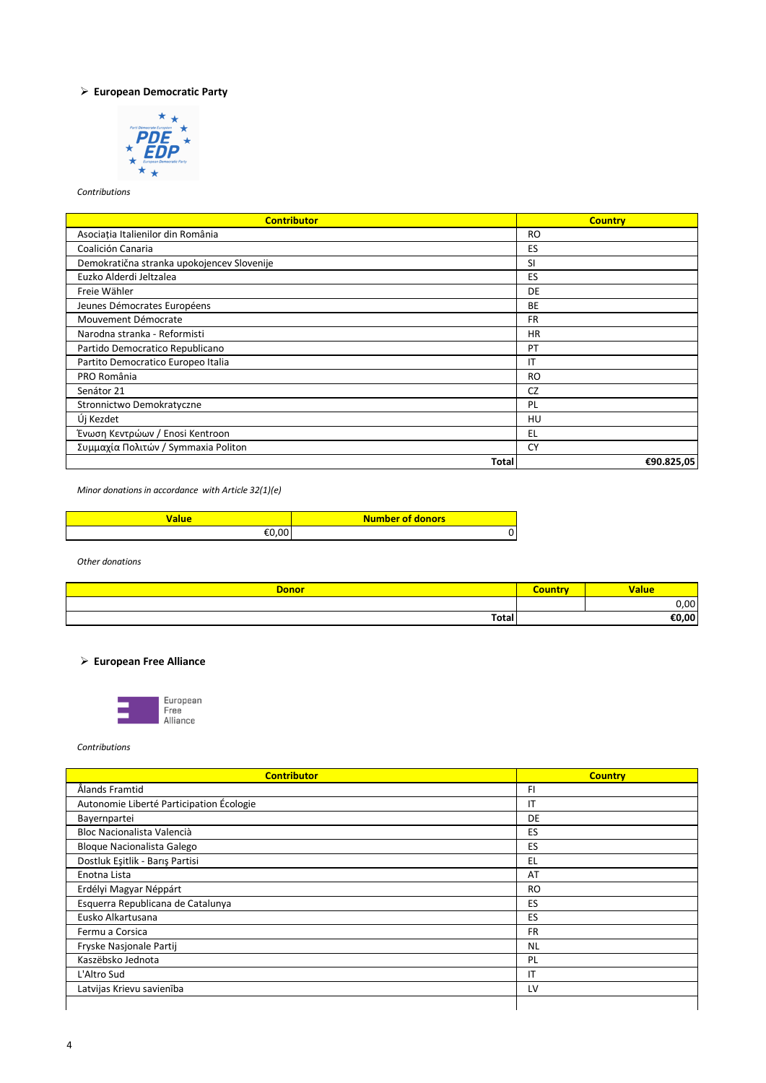## **European Democratic Party**



*Contributions* 

| <b>Contributor</b>                         | <b>Country</b> |
|--------------------------------------------|----------------|
| Asociația Italienilor din România          | <b>RO</b>      |
| Coalición Canaria                          | ES             |
| Demokratična stranka upokojencev Slovenije | <b>SI</b>      |
| Euzko Alderdi Jeltzalea                    | ES             |
| Freie Wähler                               | DE.            |
| Jeunes Démocrates Européens                | BE             |
| Mouvement Démocrate                        | <b>FR</b>      |
| Narodna stranka - Reformisti               | <b>HR</b>      |
| Partido Democratico Republicano            | PT             |
| Partito Democratico Europeo Italia         | IT             |
| PRO România                                | <b>RO</b>      |
| Senátor 21                                 | CZ             |
| Stronnictwo Demokratyczne                  | PL             |
| Új Kezdet                                  | HU             |
| Ένωση Κεντρώων / Enosi Kentroon            | EL             |
| Συμμαχία Πολιτών / Symmaxia Politon        | CY             |
| <b>Total</b>                               | €90.825,05     |

*Minor donations in accordance with Article 32(1)(e)*

| 'alue | <b>Number of donors</b> |
|-------|-------------------------|
| nn.   |                         |

*Other donations*

| <b>Donor</b> | Value  |
|--------------|--------|
|              | $\cap$ |
| Total        | 0,00   |

# **European Free Alliance**



*Contributions*

| <b>Contributor</b>                       | <b>Country</b> |
|------------------------------------------|----------------|
| Ålands Framtid                           | FI             |
| Autonomie Liberté Participation Écologie | IT             |
| Bayernpartei                             | DE.            |
| Bloc Nacionalista Valencià               | ES             |
| <b>Bloque Nacionalista Galego</b>        | ES             |
| Dostluk Eşitlik - Barış Partisi          | EL             |
| Enotna Lista                             | AT             |
| Erdélyi Magyar Néppárt                   | <b>RO</b>      |
| Esquerra Republicana de Catalunya        | ES             |
| Eusko Alkartusana                        | ES             |
| Fermu a Corsica                          | <b>FR</b>      |
| Fryske Nasjonale Partij                  | <b>NL</b>      |
| Kaszëbsko Jednota                        | PL             |
| L'Altro Sud                              | ΙT             |
| Latvijas Krievu savienība                | LV             |
|                                          |                |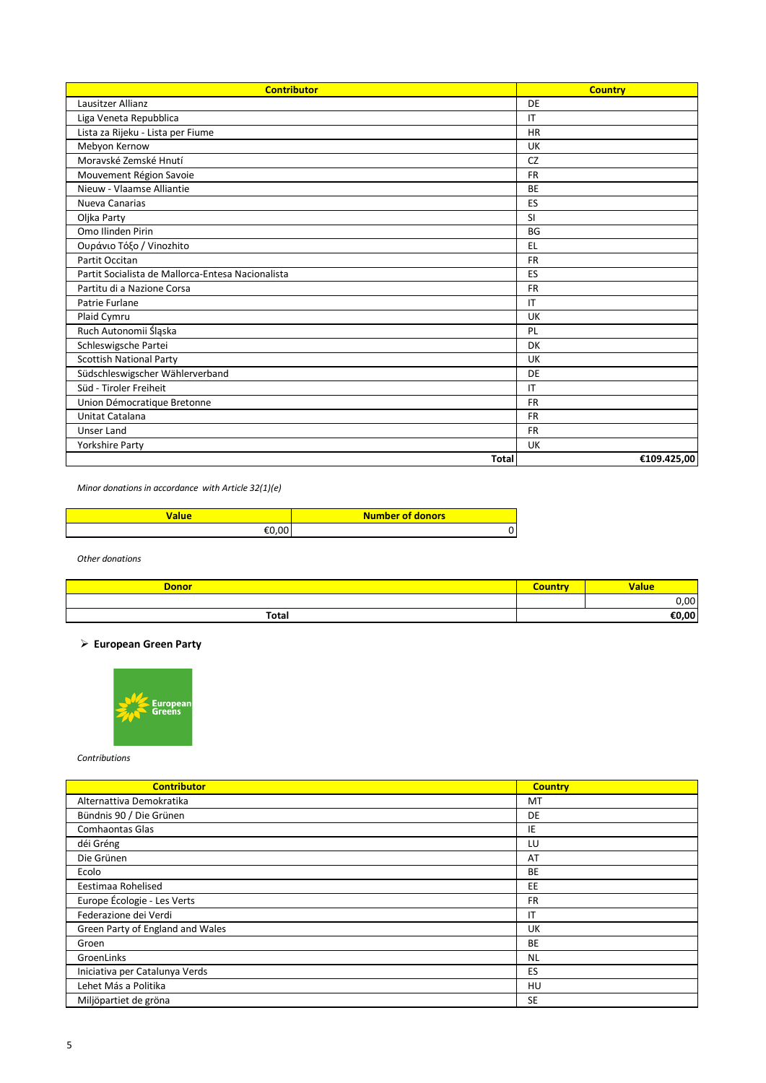| <b>Contributor</b>                                | <b>Country</b> |
|---------------------------------------------------|----------------|
| Lausitzer Allianz                                 | DE             |
| Liga Veneta Repubblica                            | IT             |
| Lista za Rijeku - Lista per Fiume                 | <b>HR</b>      |
| Mebyon Kernow                                     | <b>UK</b>      |
| Moravské Zemské Hnutí                             | <b>CZ</b>      |
| Mouvement Région Savoie                           | <b>FR</b>      |
| Nieuw - Vlaamse Alliantie                         | <b>BE</b>      |
| Nueva Canarias                                    | ES             |
| Oljka Party                                       | SI             |
| Omo Ilinden Pirin                                 | <b>BG</b>      |
| Ουράνιο Τόξο / Vinozhito                          | EL             |
| Partit Occitan                                    | <b>FR</b>      |
| Partit Socialista de Mallorca-Entesa Nacionalista | ES             |
| Partitu di a Nazione Corsa                        | <b>FR</b>      |
| Patrie Furlane                                    | IT             |
| Plaid Cymru                                       | UK             |
| Ruch Autonomii Śląska                             | PL             |
| Schleswigsche Partei                              | DK             |
| <b>Scottish National Party</b>                    | UK             |
| Südschleswigscher Wählerverband                   | DE             |
| Süd - Tiroler Freiheit                            | IT             |
| Union Démocratique Bretonne                       | <b>FR</b>      |
| Unitat Catalana                                   | <b>FR</b>      |
| <b>Unser Land</b>                                 | <b>FR</b>      |
| Yorkshire Party                                   | UK             |
| <b>Total</b>                                      | €109.425,00    |

*Minor donations in accordance with Article 32(1)(e)*

| Value | <b>Number of donors</b> |
|-------|-------------------------|
| n     |                         |

*Other donations*

| <b>Donor</b> | $-0.5$ | <b>Value</b> |
|--------------|--------|--------------|
|              |        | $\cap$<br>vv |
| Total        |        | €0,00        |

## **European Green Party**



*Contributions* 

| <b>Contributor</b>               | <b>Country</b> |
|----------------------------------|----------------|
| Alternattiva Demokratika         | MT             |
| Bündnis 90 / Die Grünen          | <b>DE</b>      |
| Comhaontas Glas                  | IE             |
| déi Gréng                        | LU             |
| Die Grünen                       | AT             |
| Ecolo                            | BE             |
| Eestimaa Rohelised               | EE             |
| Europe Écologie - Les Verts      | FR.            |
| Federazione dei Verdi            | ΙT             |
| Green Party of England and Wales | UK             |
| Groen                            | BE             |
| GroenLinks                       | <b>NL</b>      |
| Iniciativa per Catalunya Verds   | ES             |
| Lehet Más a Politika             | HU             |
| Miljöpartiet de gröna            | <b>SE</b>      |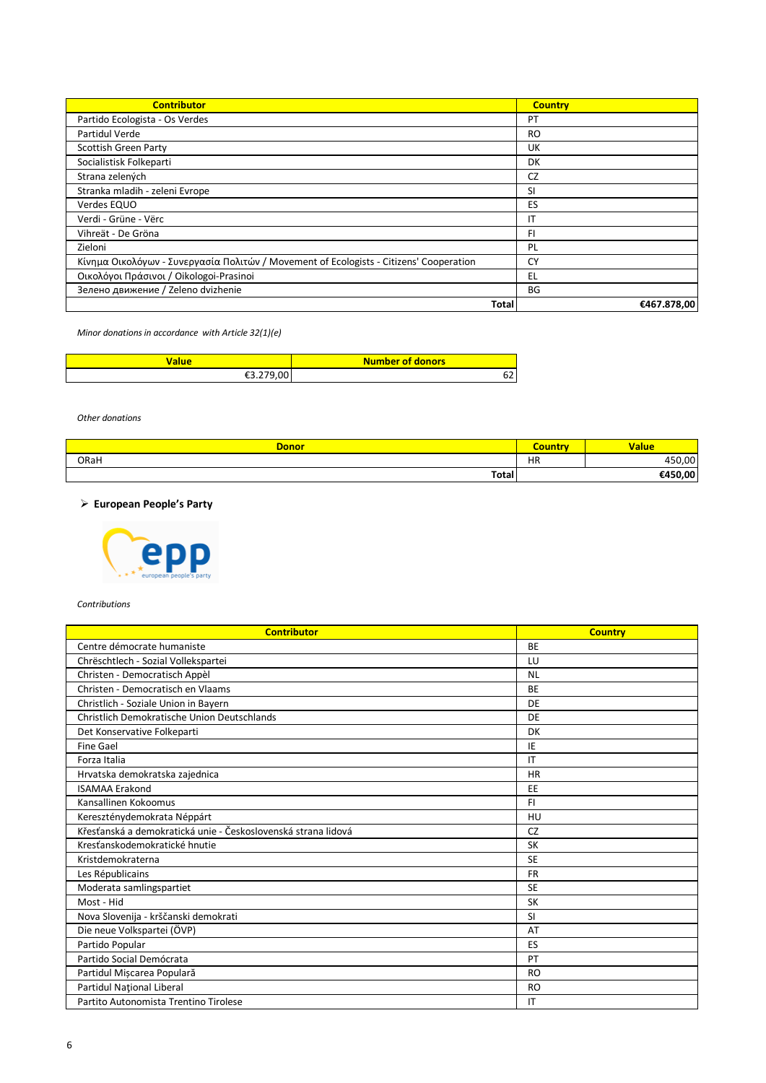| <b>Contributor</b>                                                                     | <b>Country</b> |
|----------------------------------------------------------------------------------------|----------------|
| Partido Ecologista - Os Verdes                                                         | PT             |
| Partidul Verde                                                                         | <b>RO</b>      |
| Scottish Green Party                                                                   | <b>UK</b>      |
| Socialistisk Folkeparti                                                                | DK             |
| Strana zelených                                                                        | CZ             |
| Stranka mladih - zeleni Evrope                                                         | SI             |
| Verdes EQUO                                                                            | ES             |
| Verdi - Grüne - Vërc                                                                   | ΙT             |
| Vihreät - De Gröna                                                                     | FI.            |
| Zieloni                                                                                | PL             |
| Κίνημα Οικολόγων - Συνεργασία Πολιτών / Movement of Ecologists - Citizens' Cooperation | CY             |
| Οικολόγοι Πράσινοι / Oikologoi-Prasinoi                                                | EL             |
| Зелено движение / Zeleno dvizhenie                                                     | BG             |
| <b>Total</b>                                                                           | €467.878,00    |

*Minor donations in accordance with Article 32(1)(e)*

| alue              | Number of donors |
|-------------------|------------------|
| .279.00<br>€3.279 |                  |

*Other donations*

| <b>Donor</b> | <b>Carl Marson</b><br>י ה' | <b>Value</b> |
|--------------|----------------------------|--------------|
| ORaH         | HR                         | 450,00       |
| <b>Total</b> |                            | €450,00      |

 **European People's Party**



*Contributions*

| <b>Contributor</b>                                            | <b>Country</b> |
|---------------------------------------------------------------|----------------|
| Centre démocrate humaniste                                    | <b>BE</b>      |
| Chrëschtlech - Sozial Vollekspartei                           | LU             |
| Christen - Democratisch Appèl                                 | <b>NL</b>      |
| Christen - Democratisch en Vlaams                             | <b>BE</b>      |
| Christlich - Soziale Union in Bayern                          | DE             |
| Christlich Demokratische Union Deutschlands                   | DE             |
| Det Konservative Folkeparti                                   | DK             |
| <b>Fine Gael</b>                                              | IE             |
| Forza Italia                                                  | IT             |
| Hrvatska demokratska zajednica                                | <b>HR</b>      |
| <b>ISAMAA Erakond</b>                                         | EE             |
| Kansallinen Kokoomus                                          | FI.            |
| Kereszténydemokrata Néppárt                                   | HU             |
| Křesťanská a demokratická unie - Československá strana lidová | <b>CZ</b>      |
| Kresťanskodemokratické hnutie                                 | <b>SK</b>      |
| Kristdemokraterna                                             | <b>SE</b>      |
| Les Républicains                                              | <b>FR</b>      |
| Moderata samlingspartiet                                      | <b>SE</b>      |
| Most - Hid                                                    | <b>SK</b>      |
| Nova Slovenija - krščanski demokrati                          | <b>SI</b>      |
| Die neue Volkspartei (ÖVP)                                    | AT             |
| Partido Popular                                               | ES             |
| Partido Social Demócrata                                      | PT             |
| Partidul Mișcarea Populară                                    | <b>RO</b>      |
| Partidul Național Liberal                                     | <b>RO</b>      |
| Partito Autonomista Trentino Tirolese                         | ΙT             |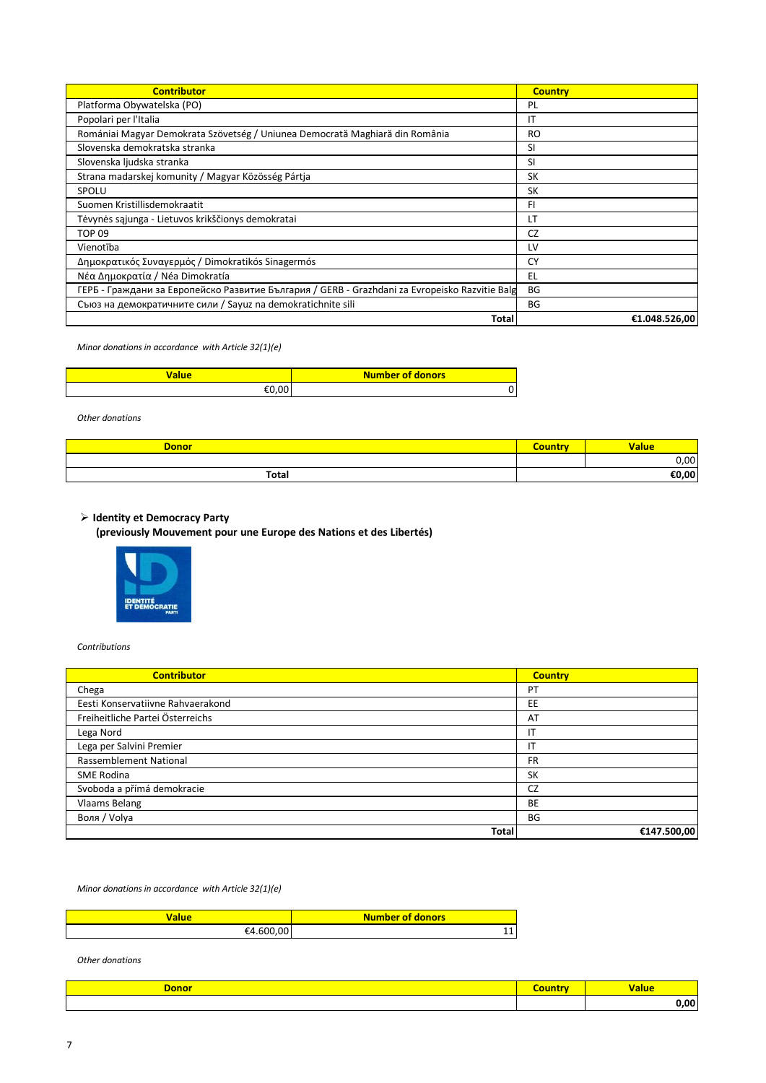| <b>Contributor</b>                                                                             | <b>Country</b> |
|------------------------------------------------------------------------------------------------|----------------|
| Platforma Obywatelska (PO)                                                                     | PL             |
| Popolari per l'Italia                                                                          | ΙT             |
| Romániai Magyar Demokrata Szövetség / Uniunea Democrată Maghiară din România                   | RO             |
| Slovenska demokratska stranka                                                                  | SI             |
| Slovenska ljudska stranka                                                                      | SI             |
| Strana madarskej komunity / Magyar Közösség Pártja                                             | SK             |
| SPOLU                                                                                          | SK             |
| Suomen Kristillisdemokraatit                                                                   | FI.            |
| Tėvynės sąjunga - Lietuvos krikščionys demokratai                                              | LT             |
| <b>TOP 09</b>                                                                                  | CZ             |
| Vienotība                                                                                      | LV             |
| Δημοκρατικός Συναγερμός / Dimokratikós Sinagermós                                              | CY             |
| Νέα Δημοκρατία / Néa Dimokratía                                                                | EL             |
| ГЕРБ - Граждани за Европейско Развитие България / GERB - Grazhdani za Evropeisko Razvitie Balg | BG             |
| Съюз на демократичните сили / Sayuz na demokratichnite sili                                    | BG             |
| Total                                                                                          | €1.048.526.00  |

*Minor donations in accordance with Article 32(1)(e)*

| /alue | <b>Number of donors</b> |
|-------|-------------------------|
| ററ    | υ                       |

*Other donations*

| <b>Donor</b> | Country | <b>Value</b> |
|--------------|---------|--------------|
|              |         | 0,00         |
| Total        |         | €0,00        |
|              |         |              |

# **Identity et Democracy Party**

**(previously Mouvement pour une Europe des Nations et des Libertés)**



#### *Contributions*

| <b>Contributor</b>                | <b>Country</b> |
|-----------------------------------|----------------|
| Chega                             | PT             |
| Eesti Konservatiivne Rahvaerakond | EE             |
| Freiheitliche Partei Österreichs  | AT             |
| Lega Nord                         | ΙT             |
| Lega per Salvini Premier          |                |
| Rassemblement National            | FR             |
| <b>SME Rodina</b>                 | SK             |
| Svoboda a přímá demokracie        | CZ             |
| <b>Vlaams Belang</b>              | BE             |
| Воля / Volya                      | BG             |
| Total                             | €147.500,00    |

*Minor donations in accordance with Article 32(1)(e)*

| 'alue                      | <b>Number of donors</b> |
|----------------------------|-------------------------|
| nn<br>$+600^{\circ}$<br>£Д | $\overline{ }$          |

| Dono <sup>r</sup> | <b>alue</b> |
|-------------------|-------------|
|                   | nn.         |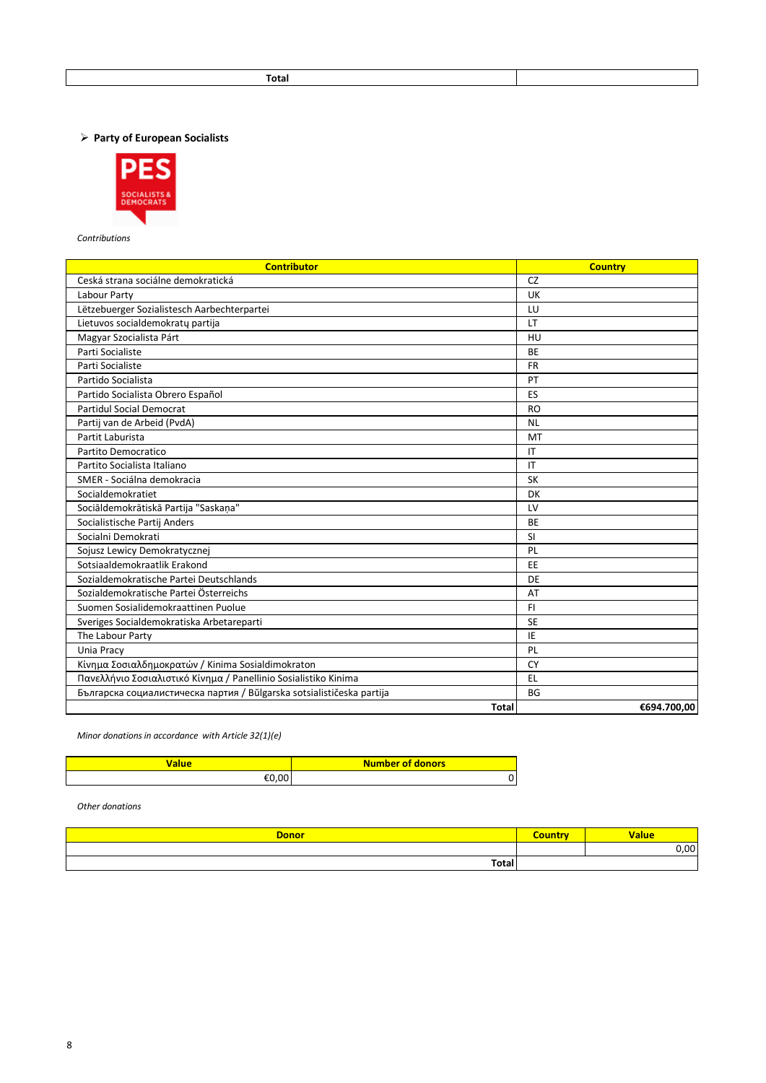**Party of European Socialists**



*Contributions* 

| <b>Contributor</b>                                                    | <b>Country</b> |
|-----------------------------------------------------------------------|----------------|
| Ceská strana sociálne demokratická                                    | CZ             |
| Labour Party                                                          | UK             |
| Lëtzebuerger Sozialistesch Aarbechterpartei                           | LU             |
| Lietuvos socialdemokratų partija                                      | LT             |
| Magyar Szocialista Párt                                               | HU             |
| Parti Socialiste                                                      | <b>BE</b>      |
| Parti Socialiste                                                      | <b>FR</b>      |
| Partido Socialista                                                    | PT             |
| Partido Socialista Obrero Español                                     | ES             |
| <b>Partidul Social Democrat</b>                                       | <b>RO</b>      |
| Partij van de Arbeid (PvdA)                                           | <b>NL</b>      |
| Partit Laburista                                                      | MT             |
| Partito Democratico                                                   | IT             |
| Partito Socialista Italiano                                           | IT             |
| SMER - Sociálna demokracia                                            | <b>SK</b>      |
| Socialdemokratiet                                                     | DK             |
| Sociāldemokrātiskā Partija "Saskaņa"                                  | LV             |
| Socialistische Partij Anders                                          | <b>BE</b>      |
| Socialni Demokrati                                                    | <b>SI</b>      |
| Sojusz Lewicy Demokratycznej                                          | PL             |
| Sotsiaaldemokraatlik Erakond                                          | EE             |
| Sozialdemokratische Partei Deutschlands                               | DE             |
| Sozialdemokratische Partei Österreichs                                | AT             |
| Suomen Sosialidemokraattinen Puolue                                   | FI.            |
| Sveriges Socialdemokratiska Arbetareparti                             | <b>SE</b>      |
| The Labour Party                                                      | IE             |
| Unia Pracy                                                            | PL             |
| Κίνημα Σοσιαλδημοκρατών / Kinima Sosialdimokraton                     | <b>CY</b>      |
| Πανελλήνιο Σοσιαλιστικό Κίνημα / Panellinio Sosialistiko Kinima       | EL             |
| Българска социалистическа партия / Bŭlgarska sotsialističeska partija | <b>BG</b>      |
| <b>Total</b>                                                          | €694.700,00    |

*Minor donations in accordance with Article 32(1)(e)*

| 'alue | <b>Number of donors</b> |
|-------|-------------------------|
| €0,00 |                         |

| <b>Donor</b> | <b>Value</b> |
|--------------|--------------|
|              | 0,00         |
| Total        |              |